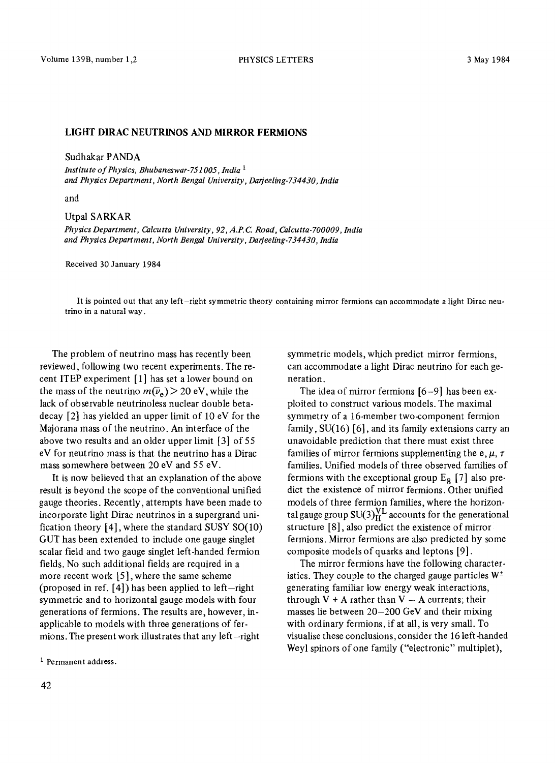## **LIGHT DIRAC NEUTRINOS AND MIRROR FERMIONS**

Sudhakar PANDA

*Institute of Physics, Bhubaneswar- 751005 , lndia 1 and Physics Department, North Bengal University, Darfeeling-734430, India* 

and

## Utpal SARKAR

*Physics Department, Calcutta University, 92, A.P.C. Road, Calcutta-700009, India and Physics Department, North Bengal University, Darjeeling-734430, India* 

Received 30 January 1984

It is pointed out that any left-right symmetric theory containing mirror fermions can accommodate a light Dirac neutrino in a natural way.

The problem of neutrino mass has recently been reviewed, following two recent experiments. The recent ITEP experiment [1] has set a lower bound on the mass of the neutrino  $m(\bar{\nu}_e) > 20$  eV, while the lack of observable neutrinoless nuclear double betadecay [2] has yielded an upper limit of 10 eV for the Majorana mass of the neutrino. An interface of the above two results and an older upper limit [3] of 55 eV for neutrino mass is that the neutrino has a Dirac mass somewhere between 20 eV and 55 eV.

It is now believed that an explanation of the above result is beyond the scope of the conventional unified gauge theories. Recently, attempts have been made to incorporate light Dirac neutrinos in a supergrand unification theory [4], where the standard SUSY SO(10) GUT has been extended to include one gauge singlet scalar field and two gauge singlet left-handed fermion fields. No such additional fields are required in a more recent work [5], where the same scheme (proposed in ref.  $[4]$ ) has been applied to left-right symmetric and to horizontal gauge models with four generations of fermions. The results are, however, inapplicable to models with three generations of fermions. The present work illustrates that any left-right

<sup>1</sup> Permanent address.

symmetric models, which predict mirror fermions, can accommodate a light Dirac neutrino for each generation.

The idea of mirror fermions [6-9] has been exploited to construct various models. The maximal symmetry of a 16-member two-component fermion family, SU(16) [6], and its family extensions carry an unavoidable prediction that there must exist three families of mirror fermions supplementing the e,  $\mu$ ,  $\tau$ families. Unified models of three observed families of fermions with the exceptional group  $E_R$  [7] also predict the existence of mirror fermions. Other unified models of three fermion families, where the horizontal gauge group  $SU(3)_H^{\mathcal{N}^{\perp}}$  accounts for the generational structure [8], also predict the existence of mirror fermions. Mirror fermions are also predicted by some composite models of quarks and leptons [9].

The mirror fermions have the following characteristics. They couple to the charged gauge particles  $W^{\pm}$ generating familiar low energy weak interactions, through  $V + A$  rather than  $V - A$  currents; their masses lie between 20-200 GeV and their mixing with ordinary fermions, if at all, is very small. To visualise these conclusions, consider the 16 left-handed Weyl spinors of one family ("electronic" multiplet),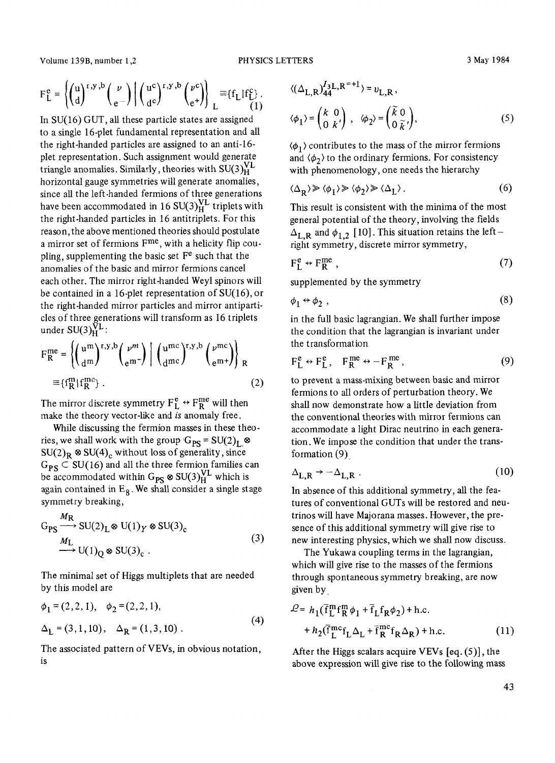Volume 139B, number 1,2 **PHYSICS LETTERS** 3 May 1984

$$
F_L^e = \left\{ \begin{pmatrix} u \\ d \end{pmatrix}^{r,y,b} \begin{pmatrix} \nu \\ e \end{pmatrix} \middle| \begin{pmatrix} u^c \\ d^c \end{pmatrix}^{r,y,b} \begin{pmatrix} \nu^c \\ e^+ \end{pmatrix} \right\}_L \equiv \{f_L | f_L^c \}.
$$

In  $SU(16)$  GUT, all these particle states are assigned to a single 16-plet fundamental representation and all the right-handed particles are assigned to an anti-16 plet representation. Such assignment would generate triangle anomalies. Similarly, theories with  $SU(3)_H^{VL}$ horizontal gauge symmetries will generate anomalies, since aH the left-handed fermions of three generations have been accommodated in 16  $SU(3)_H^{\text{VL}}$  triplets with the right-handed particles in 16 antitriplets. For this reason,the above mentioned theories should postulate a mirror set of fermions F<sup>me</sup>, with a helicity flip coupling, supplementing the basic set  $F<sup>e</sup>$  such that the anomalies of the basic and mirror fermions cancel each other. The mirror right-handed Weyl spinors will be contained in a 16-plet representation of SU(16), or the right-handed mirror particles and mirror antiparticles of three generations will transform as 16 triplets under  $SU(3)_H^{\bar{V}L}$ :

$$
F_{R}^{me} = \left\{ \left( \frac{u^{m}}{dm} \right)^{r,y,b} \left( \frac{\nu^{m}}{e^{m}} \right) \right\} \left( \frac{u^{mc}}{dmc} \right)^{r,y,b} \left( \frac{\nu^{mc}}{e^{m}} \right) \right\}_{R}
$$

$$
\equiv \{f_{R}^{m} | f_{R}^{mc} \} . \tag{2}
$$

The mirror discrete symmetry  $F_L^e \leftrightarrow F_R^{me}$  will then make the theory vector-like and *is* anomaly free.

While discussing the fermion masses in these theories, we shall work with the group  $G_{PS} = SU(2)_L \otimes$  $SU(2)_R \otimes SU(4)_c$  without loss of generality, since  $G_{PS} \subset SU(16)$  and all the three fermion families can be accommodated within  $G_{PS} \otimes SU(3)_H^{VL}$  which is again contained in  $E_8$ . We shall consider a single stage symmetry breaking,

$$
G_{PS} \xrightarrow{M_R} SU(2)_L \otimes U(1)_Y \otimes SU(3)_c
$$
  
\n
$$
\xrightarrow{M_L} U(1)_Q \otimes SU(3)_c .
$$
\n(3)

The minimal set of Higgs multiplets that are needed by this model are

$$
\phi_1 = (2, 2, 1), \quad \phi_2 = (2, 2, 1),
$$
  
\n
$$
\Delta_L = (3, 1, 10), \quad \Delta_R = (1, 3, 10).
$$
 (4)

The associated pattern of VEVs, in obvious notation, is

$$
\langle (\Delta_{L,R})^{I_3L,R^{=+1}}_{44} \rangle = v_{L,R},
$$
  

$$
\langle \phi_1 \rangle = \begin{pmatrix} k & 0 \\ 0 & k' \end{pmatrix}, \quad \langle \phi_2 \rangle = \begin{pmatrix} \tilde{k} & 0 \\ 0 & \tilde{k} \end{pmatrix}, \tag{5}
$$

 $\langle \phi_1 \rangle$  contributes to the mass of the mirror fermions and  $\langle \phi_2 \rangle$  to the ordinary fermions. For consistency with phenomenology, one needs the hierarchy

$$
\langle \Delta_R \rangle \gg \langle \phi_1 \rangle \gg \langle \phi_2 \rangle \gg \langle \Delta_L \rangle \,. \tag{6}
$$

This result is consistent with the minima of the most general potential of the theory, involving the fields  $\Delta_{\text{L},\text{R}}$  and  $\phi_{1,2}$  [10]. This situation retains the leftright symmetry, discrete mirror symmetry,

$$
F_L^e \leftrightarrow F_R^{me} \,, \tag{7}
$$

supplemented by the symmetry

$$
\phi_1 \leftrightarrow \phi_2 \tag{8}
$$

in the full basic lagrangian. We shall further impose the condition that the lagrangian is invariant under the transformation

$$
F_L^e \leftrightarrow F_L^e, \quad F_R^{me} \leftrightarrow -F_R^{me}, \tag{9}
$$

to prevent a mass-mixing between basic and mirror fermions to all orders of perturbation theory. We shall now demonstrate how a little deviation from the conventional theories with mirror fermions can accommodate a light Dirac neutrino in each generation. We impose the condition that under the transformation (9)

$$
\Delta_{\text{L},\text{R}} \rightarrow -\Delta_{\text{L},\text{R}} \tag{10}
$$

In absence of this additional symmetry, all the features of conventional GUTs will be restored and neutrinos will have Majorana masses. However, the presence of this additional symmetry will give rise to new interesting physics, which we shall now discuss.

The Yukawa coupling terms in the lagrangian, which will give rise to the masses of the fermions through spontaneous symmetry breaking, are now given by.

$$
\mathcal{L} = h_1(\bar{f}_L^m f_R^m \phi_1 + \bar{f}_L f_R \phi_2) + \text{h.c.}
$$
  
+ 
$$
h_2(\bar{f}_L^{mc} f_L \Delta_L + \bar{f}_R^{mc} f_R \Delta_R) + \text{h.c.}
$$
 (11)

After the Higgs scalars acquire VEVs [eq. (5)], the above expression will give rise to the following mass